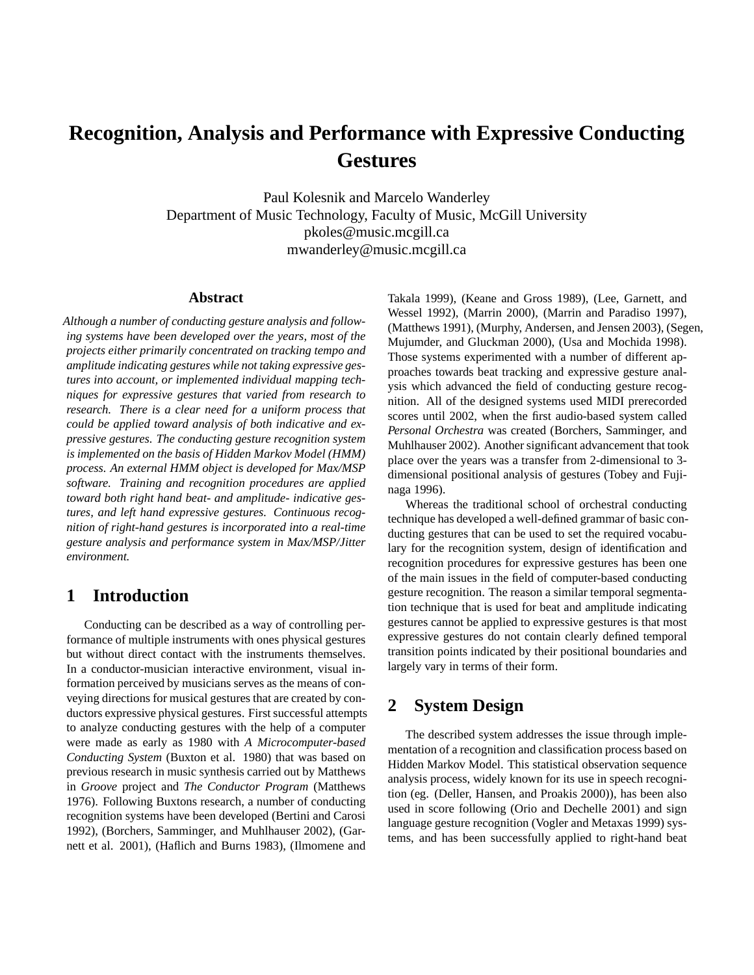# **Recognition, Analysis and Performance with Expressive Conducting Gestures**

Paul Kolesnik and Marcelo Wanderley Department of Music Technology, Faculty of Music, McGill University pkoles@music.mcgill.ca mwanderley@music.mcgill.ca

#### **Abstract**

*Although a number of conducting gesture analysis and following systems have been developed over the years, most of the projects either primarily concentrated on tracking tempo and amplitude indicating gestures while not taking expressive gestures into account, or implemented individual mapping techniques for expressive gestures that varied from research to research. There is a clear need for a uniform process that could be applied toward analysis of both indicative and expressive gestures. The conducting gesture recognition system is implemented on the basis of Hidden Markov Model (HMM) process. An external HMM object is developed for Max/MSP software. Training and recognition procedures are applied toward both right hand beat- and amplitude- indicative gestures, and left hand expressive gestures. Continuous recognition of right-hand gestures is incorporated into a real-time gesture analysis and performance system in Max/MSP/Jitter environment.*

# **1 Introduction**

Conducting can be described as a way of controlling performance of multiple instruments with ones physical gestures but without direct contact with the instruments themselves. In a conductor-musician interactive environment, visual information perceived by musicians serves as the means of conveying directions for musical gestures that are created by conductors expressive physical gestures. First successful attempts to analyze conducting gestures with the help of a computer were made as early as 1980 with *A Microcomputer-based Conducting System* (Buxton et al. 1980) that was based on previous research in music synthesis carried out by Matthews in *Groove* project and *The Conductor Program* (Matthews 1976). Following Buxtons research, a number of conducting recognition systems have been developed (Bertini and Carosi 1992), (Borchers, Samminger, and Muhlhauser 2002), (Garnett et al. 2001), (Haflich and Burns 1983), (Ilmomene and

Takala 1999), (Keane and Gross 1989), (Lee, Garnett, and Wessel 1992), (Marrin 2000), (Marrin and Paradiso 1997), (Matthews 1991), (Murphy, Andersen, and Jensen 2003), (Segen, Mujumder, and Gluckman 2000), (Usa and Mochida 1998). Those systems experimented with a number of different approaches towards beat tracking and expressive gesture analysis which advanced the field of conducting gesture recognition. All of the designed systems used MIDI prerecorded scores until 2002, when the first audio-based system called *Personal Orchestra* was created (Borchers, Samminger, and Muhlhauser 2002). Another significant advancement that took place over the years was a transfer from 2-dimensional to 3 dimensional positional analysis of gestures (Tobey and Fujinaga 1996).

Whereas the traditional school of orchestral conducting technique has developed a well-defined grammar of basic conducting gestures that can be used to set the required vocabulary for the recognition system, design of identification and recognition procedures for expressive gestures has been one of the main issues in the field of computer-based conducting gesture recognition. The reason a similar temporal segmentation technique that is used for beat and amplitude indicating gestures cannot be applied to expressive gestures is that most expressive gestures do not contain clearly defined temporal transition points indicated by their positional boundaries and largely vary in terms of their form.

# **2 System Design**

The described system addresses the issue through implementation of a recognition and classification process based on Hidden Markov Model. This statistical observation sequence analysis process, widely known for its use in speech recognition (eg. (Deller, Hansen, and Proakis 2000)), has been also used in score following (Orio and Dechelle 2001) and sign language gesture recognition (Vogler and Metaxas 1999) systems, and has been successfully applied to right-hand beat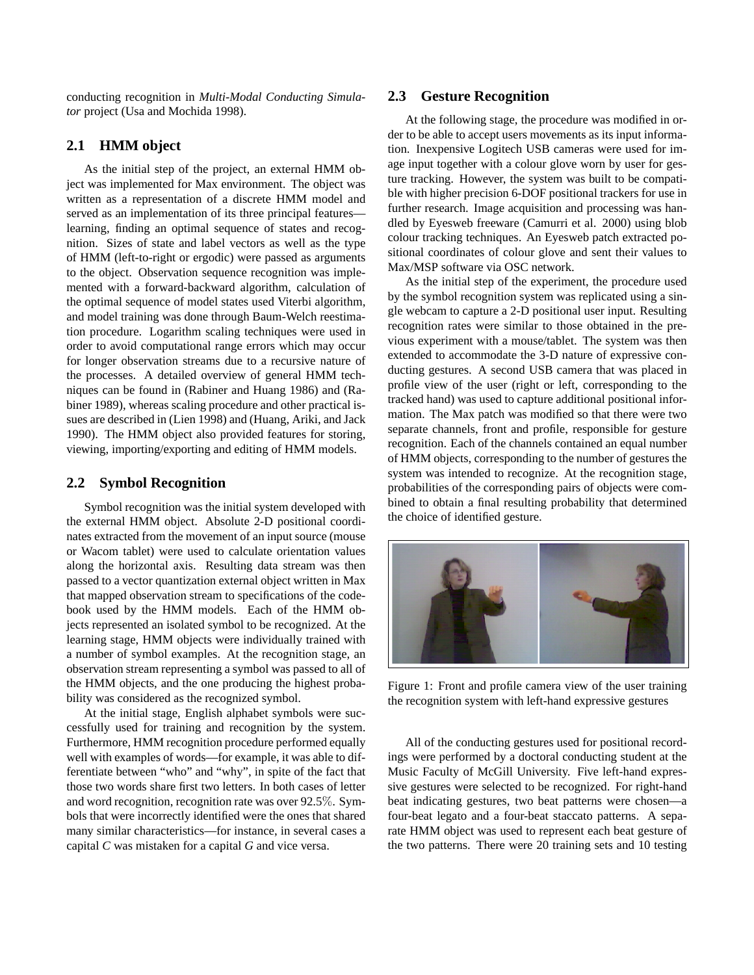conducting recognition in *Multi-Modal Conducting Simulator* project (Usa and Mochida 1998).

#### **2.1 HMM object**

As the initial step of the project, an external HMM object was implemented for Max environment. The object was written as a representation of a discrete HMM model and served as an implementation of its three principal features learning, finding an optimal sequence of states and recognition. Sizes of state and label vectors as well as the type of HMM (left-to-right or ergodic) were passed as arguments to the object. Observation sequence recognition was implemented with a forward-backward algorithm, calculation of the optimal sequence of model states used Viterbi algorithm, and model training was done through Baum-Welch reestimation procedure. Logarithm scaling techniques were used in order to avoid computational range errors which may occur for longer observation streams due to a recursive nature of the processes. A detailed overview of general HMM techniques can be found in (Rabiner and Huang 1986) and (Rabiner 1989), whereas scaling procedure and other practical issues are described in (Lien 1998) and (Huang, Ariki, and Jack 1990). The HMM object also provided features for storing, viewing, importing/exporting and editing of HMM models.

#### **2.2 Symbol Recognition**

Symbol recognition was the initial system developed with the external HMM object. Absolute 2-D positional coordinates extracted from the movement of an input source (mouse or Wacom tablet) were used to calculate orientation values along the horizontal axis. Resulting data stream was then passed to a vector quantization external object written in Max that mapped observation stream to specifications of the codebook used by the HMM models. Each of the HMM objects represented an isolated symbol to be recognized. At the learning stage, HMM objects were individually trained with a number of symbol examples. At the recognition stage, an observation stream representing a symbol was passed to all of the HMM objects, and the one producing the highest probability was considered as the recognized symbol.

At the initial stage, English alphabet symbols were successfully used for training and recognition by the system. Furthermore, HMM recognition procedure performed equally well with examples of words—for example, it was able to differentiate between "who" and "why", in spite of the fact that those two words share first two letters. In both cases of letter and word recognition, recognition rate was over 92.5%. Symbols that were incorrectly identified were the ones that shared many similar characteristics—for instance, in several cases a capital *C* was mistaken for a capital *G* and vice versa.

#### **2.3 Gesture Recognition**

At the following stage, the procedure was modified in order to be able to accept users movements as its input information. Inexpensive Logitech USB cameras were used for image input together with a colour glove worn by user for gesture tracking. However, the system was built to be compatible with higher precision 6-DOF positional trackers for use in further research. Image acquisition and processing was handled by Eyesweb freeware (Camurri et al. 2000) using blob colour tracking techniques. An Eyesweb patch extracted positional coordinates of colour glove and sent their values to Max/MSP software via OSC network.

As the initial step of the experiment, the procedure used by the symbol recognition system was replicated using a single webcam to capture a 2-D positional user input. Resulting recognition rates were similar to those obtained in the previous experiment with a mouse/tablet. The system was then extended to accommodate the 3-D nature of expressive conducting gestures. A second USB camera that was placed in profile view of the user (right or left, corresponding to the tracked hand) was used to capture additional positional information. The Max patch was modified so that there were two separate channels, front and profile, responsible for gesture recognition. Each of the channels contained an equal number of HMM objects, corresponding to the number of gestures the system was intended to recognize. At the recognition stage, probabilities of the corresponding pairs of objects were combined to obtain a final resulting probability that determined the choice of identified gesture.



Figure 1: Front and profile camera view of the user training the recognition system with left-hand expressive gestures

All of the conducting gestures used for positional recordings were performed by a doctoral conducting student at the Music Faculty of McGill University. Five left-hand expressive gestures were selected to be recognized. For right-hand beat indicating gestures, two beat patterns were chosen—a four-beat legato and a four-beat staccato patterns. A separate HMM object was used to represent each beat gesture of the two patterns. There were 20 training sets and 10 testing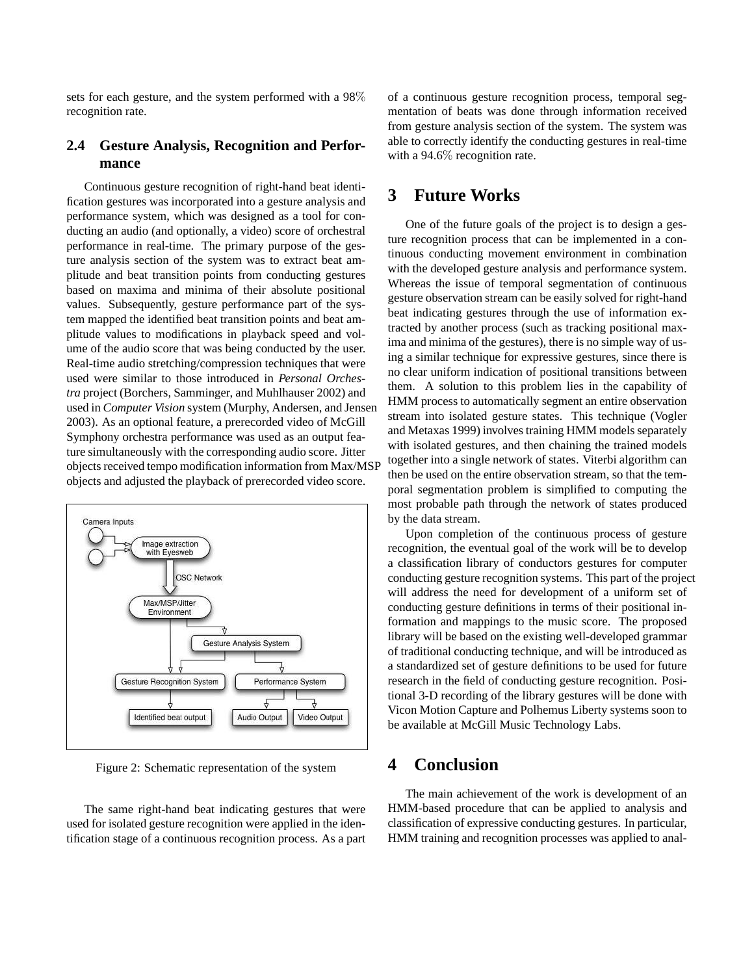sets for each gesture, and the system performed with a 98% recognition rate.

### **2.4 Gesture Analysis, Recognition and Performance**

Continuous gesture recognition of right-hand beat identification gestures was incorporated into a gesture analysis and performance system, which was designed as a tool for conducting an audio (and optionally, a video) score of orchestral performance in real-time. The primary purpose of the gesture analysis section of the system was to extract beat amplitude and beat transition points from conducting gestures based on maxima and minima of their absolute positional values. Subsequently, gesture performance part of the system mapped the identified beat transition points and beat amplitude values to modifications in playback speed and volume of the audio score that was being conducted by the user. Real-time audio stretching/compression techniques that were used were similar to those introduced in *Personal Orchestra* project (Borchers, Samminger, and Muhlhauser 2002) and used in *Computer Vision* system (Murphy, Andersen, and Jensen 2003). As an optional feature, a prerecorded video of McGill Symphony orchestra performance was used as an output feature simultaneously with the corresponding audio score. Jitter objects received tempo modification information from Max/MSP objects and adjusted the playback of prerecorded video score.



Figure 2: Schematic representation of the system

The same right-hand beat indicating gestures that were used for isolated gesture recognition were applied in the identification stage of a continuous recognition process. As a part of a continuous gesture recognition process, temporal segmentation of beats was done through information received from gesture analysis section of the system. The system was able to correctly identify the conducting gestures in real-time with a 94.6% recognition rate.

# **3 Future Works**

One of the future goals of the project is to design a gesture recognition process that can be implemented in a continuous conducting movement environment in combination with the developed gesture analysis and performance system. Whereas the issue of temporal segmentation of continuous gesture observation stream can be easily solved for right-hand beat indicating gestures through the use of information extracted by another process (such as tracking positional maxima and minima of the gestures), there is no simple way of using a similar technique for expressive gestures, since there is no clear uniform indication of positional transitions between them. A solution to this problem lies in the capability of HMM process to automatically segment an entire observation stream into isolated gesture states. This technique (Vogler and Metaxas 1999) involves training HMM models separately with isolated gestures, and then chaining the trained models together into a single network of states. Viterbi algorithm can then be used on the entire observation stream, so that the temporal segmentation problem is simplified to computing the most probable path through the network of states produced by the data stream.

Upon completion of the continuous process of gesture recognition, the eventual goal of the work will be to develop a classification library of conductors gestures for computer conducting gesture recognition systems. This part of the project will address the need for development of a uniform set of conducting gesture definitions in terms of their positional information and mappings to the music score. The proposed library will be based on the existing well-developed grammar of traditional conducting technique, and will be introduced as a standardized set of gesture definitions to be used for future research in the field of conducting gesture recognition. Positional 3-D recording of the library gestures will be done with Vicon Motion Capture and Polhemus Liberty systems soon to be available at McGill Music Technology Labs.

# **4 Conclusion**

The main achievement of the work is development of an HMM-based procedure that can be applied to analysis and classification of expressive conducting gestures. In particular, HMM training and recognition processes was applied to anal